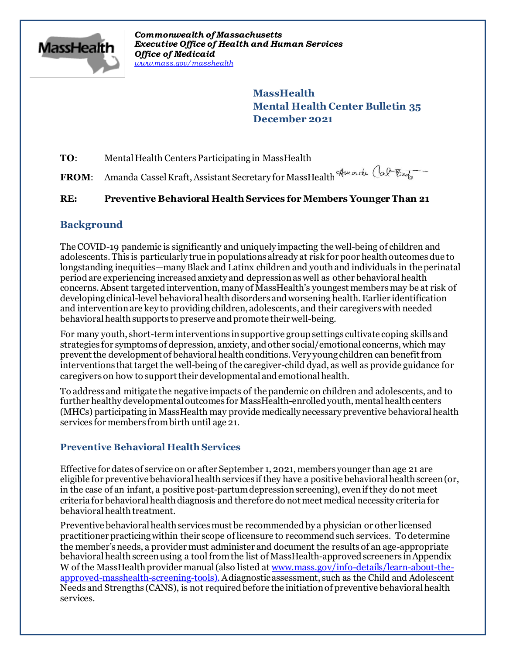

*Commonwealth of Massachusetts Executive Office of Health and Human Services Office of Medicaid [www.mass.gov/masshealth](http://www.mass.gov/masshealth)*

> **MassHealth Mental Health Center Bulletin 35 December 2021**

**TO:** Mental Health Centers Participating in MassHealth

**FROM**: Amanda Cassel Kraft, Assistant Secretary for MassHealth

# **RE: Preventive Behavioral Health Services for Members Younger Than 21**

# **Background**

The COVID-19 pandemic is significantly and uniquely impacting the well-being of children and adolescents. This is particularly true in populations already at risk for poor health outcomes due to longstanding inequities—many Black and Latinx children and youth and individuals in the perinatal periodare experiencing increased anxiety and depressionas well as other behavioral health concerns. Absent targeted intervention, many of MassHealth's youngest members may be at risk of developing clinical-level behavioral health disorders and worsening health. Earlier identification and intervention are key to providing children, adolescents, and their caregivers with needed behavioral health supports to preserve and promote their well-being.

For many youth, short-term interventions in supportive group settings cultivate coping skills and strategies for symptoms of depression, anxiety, and other social/emotional concerns, which may prevent the development of behavioral health conditions. Very young children can benefit from interventions that target the well-beingof the caregiver-child dyad, as well as provide guidance for caregivers on how to support their developmental and emotional health.

To address and mitigate the negative impacts of the pandemic on children and adolescents, and to further healthy developmental outcomes for MassHealth-enrolled youth, mental health centers (MHCs) participating in MassHealth may provide medically necessary preventive behavioral health services for members frombirth until age 21.

# **Preventive Behavioral Health Services**

Effective for dates of service on or after September 1, 2021, members younger than age 21 are eligible for preventive behavioral health services if they have a positive behavioral health screen (or, in the case of an infant, a positive post-partum depression screening), even if they do not meet criteria for behavioral health diagnosis and therefore do not meet medical necessity criteria for behavioral health treatment.

Preventive behavioral health services must be recommended by a physician or other licensed practitioner practicing within their scope of licensure to recommend such services. To determine the member's needs, a provider must administer and document the results of an age-appropriate behavioral health screen using a tool from the list of MassHealth-approved screeners in Appendix W of the MassHealth provider manual (also listed at [www.mass.gov/info-details/learn-about-the](C:\Users\JGambarini\AppData\Local\Microsoft\Windows\Temporary Internet Files\Content.Outlook\DPT8L4WS\www.mass.gov\info-details\learn-about-the-approved-masshealth-screening-tools)[approved-masshealth-screening-tools](C:\Users\JGambarini\AppData\Local\Microsoft\Windows\Temporary Internet Files\Content.Outlook\DPT8L4WS\www.mass.gov\info-details\learn-about-the-approved-masshealth-screening-tools)).Adiagnostic assessment, such as the Child and Adolescent Needs and Strengths (CANS), is not required before the initiation of preventive behavioral health services.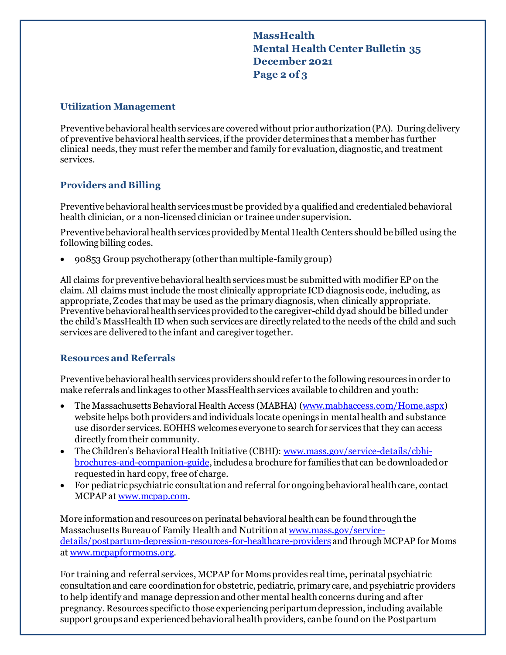**MassHealth Mental Health Center Bulletin 35 December 2021 Page 2 of 3**

#### **Utilization Management**

Preventive behavioral health services are covered without prior authorization(PA). During delivery of preventive behavioral health services, if the provider determines that a member has further clinical needs, they must refer the member and family for evaluation, diagnostic, and treatment services.

## **Providers and Billing**

Preventive behavioral health services must be provided by a qualified and credentialed behavioral health clinician, or a non-licensed clinician or trainee under supervision.

Preventive behavioral health services provided by Mental Health Centers should be billed using the following billing codes.

· 90853 Group psychotherapy (other than multiple-family group)

All claims for preventive behavioral health servicesmust be submitted with modifier EP on the claim. All claims must include the most clinically appropriate ICD diagnosis code, including, as appropriate, Z codes that may be used as the primary diagnosis, when clinically appropriate. Preventive behavioral health services provided to the caregiver-child dyad should be billed under the child's MassHealth ID when such services are directly related to the needs of the child and such services are delivered to the infant and caregiver together.

### **Resources and Referrals**

Preventive behavioral health services providers should refer to the following resources in order to make referrals and linkages to other MassHealth services available to children and youth:

- · The Massachusetts Behavioral Health Access (MABHA) [\(www.mabhaccess.com/Home.aspx](C:\Users\JGambarini\AppData\Local\Microsoft\Windows\Temporary Internet Files\Content.Outlook\DPT8L4WS\www.mabhaccess.com\Home.aspx)) website helps both providers and individuals locate openings in mental health and substance use disorder services. EOHHS welcomes everyone to search for services that they can access directly from their community.
- The Children's Behavioral Health Initiative (CBHI): [www.mass.gov/service-details/cbhi](http://www.mass.gov/service-details/cbhi-brochures-and-companion-guide)[brochures-and-companion-guide](http://www.mass.gov/service-details/cbhi-brochures-and-companion-guide), includes a brochure for families that can be downloaded or requested in hard copy, free of charge.
- · For pediatric psychiatric consultation and referral for ongoing behavioral health care, contact MCPAP at [www.mcpap.com](http://www.mcpap.com/).

More information and resources on perinatal behavioral health can be found through the Massachusetts Bureau of Family Health and Nutrition at [www.mass.gov/service](https://www.mass.gov/service-details/postpartum-depression-resources-for-healthcare-providers)[details/postpartum-depression-resources-for-healthcare-providers](https://www.mass.gov/service-details/postpartum-depression-resources-for-healthcare-providers) and through MCPAP for Moms at [www.mcpapformoms.org](http://www.mcpapformoms.org/).

For training and referral services, MCPAP for Moms provides real time, perinatal psychiatric consultation and care coordination for obstetric, pediatric, primary care, and psychiatric providers to help identify and manage depression and other mental health concerns during and after pregnancy. Resources specific to those experiencing peripartum depression, including available support groups and experienced behavioral health providers, can be found on the Postpartum